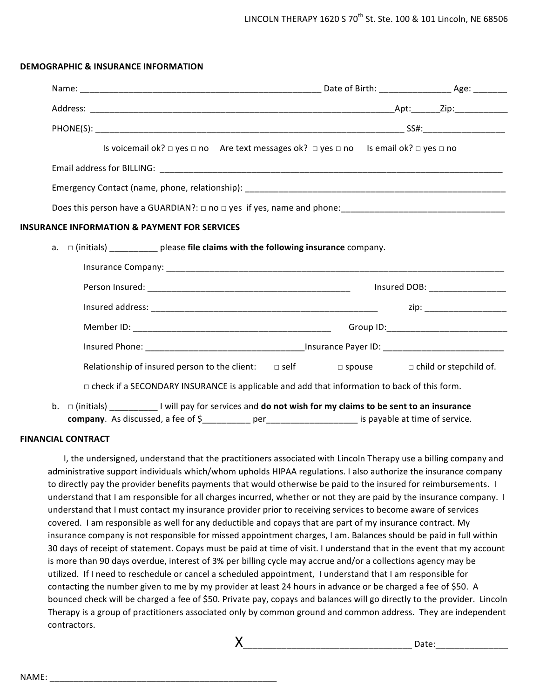## **DEMOGRAPHIC & INSURANCE INFORMATION**

|                                                                                                                    | Is voicemail ok? $\Box$ yes $\Box$ no Are text messages ok? $\Box$ yes $\Box$ no Is email ok? $\Box$ yes $\Box$ no |                                |  |
|--------------------------------------------------------------------------------------------------------------------|--------------------------------------------------------------------------------------------------------------------|--------------------------------|--|
|                                                                                                                    |                                                                                                                    |                                |  |
|                                                                                                                    |                                                                                                                    |                                |  |
|                                                                                                                    |                                                                                                                    |                                |  |
| <b>INSURANCE INFORMATION &amp; PAYMENT FOR SERVICES</b>                                                            |                                                                                                                    |                                |  |
| a. $\Box$ (initials) ___________ please file claims with the following insurance company.                          |                                                                                                                    |                                |  |
|                                                                                                                    |                                                                                                                    |                                |  |
|                                                                                                                    |                                                                                                                    |                                |  |
|                                                                                                                    |                                                                                                                    | zip: _________________________ |  |
|                                                                                                                    |                                                                                                                    |                                |  |
|                                                                                                                    |                                                                                                                    |                                |  |
| Relationship of insured person to the client: $\Box$ self $\Box$ spouse $\Box$ child or stepchild of.              |                                                                                                                    |                                |  |
| $\Box$ check if a SECONDARY INSURANCE is applicable and add that information to back of this form.                 |                                                                                                                    |                                |  |
| b. $\Box$ (initials) ____________ I will pay for services and do not wish for my claims to be sent to an insurance |                                                                                                                    |                                |  |
| company. As discussed, a fee of \$___________ per____________________ is payable at time of service.               |                                                                                                                    |                                |  |

# **FINANCIAL CONTRACT**

I, the undersigned, understand that the practitioners associated with Lincoln Therapy use a billing company and administrative support individuals which/whom upholds HIPAA regulations. I also authorize the insurance company to directly pay the provider benefits payments that would otherwise be paid to the insured for reimbursements. I understand that I am responsible for all charges incurred, whether or not they are paid by the insurance company. I understand that I must contact my insurance provider prior to receiving services to become aware of services covered. I am responsible as well for any deductible and copays that are part of my insurance contract. My insurance company is not responsible for missed appointment charges, I am. Balances should be paid in full within 30 days of receipt of statement. Copays must be paid at time of visit. I understand that in the event that my account is more than 90 days overdue, interest of 3% per billing cycle may accrue and/or a collections agency may be utilized. If I need to reschedule or cancel a scheduled appointment, I understand that I am responsible for contacting the number given to me by my provider at least 24 hours in advance or be charged a fee of \$50. A bounced check will be charged a fee of \$50. Private pay, copays and balances will go directly to the provider. Lincoln Therapy is a group of practitioners associated only by common ground and common address. They are independent contractors. 

X\_\_\_\_\_\_\_\_\_\_\_\_\_\_\_\_\_\_\_\_\_\_\_\_\_\_\_\_\_\_\_\_\_\_\_ Date:\_\_\_\_\_\_\_\_\_\_\_\_\_\_\_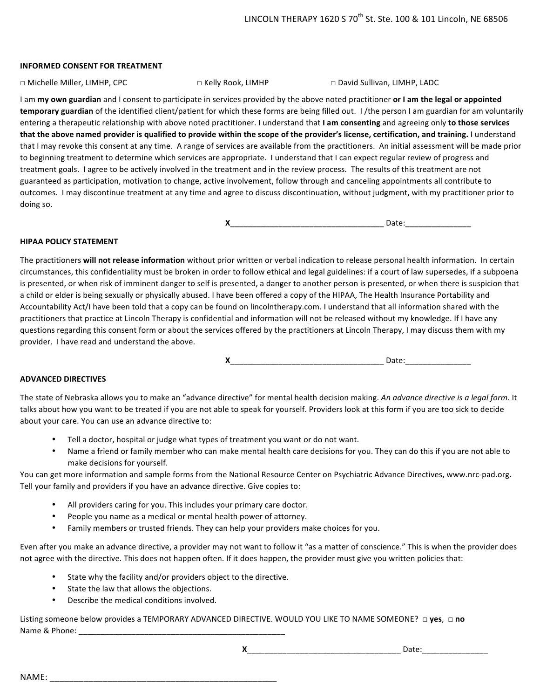#### **INFORMED CONSENT FOR TREATMENT**

□ David Sullivan, LIMHP, LADC

I am my own guardian and I consent to participate in services provided by the above noted practitioner or I am the legal or appointed **temporary guardian** of the identified client/patient for which these forms are being filled out. I/the person I am guardian for am voluntarily entering a therapeutic relationship with above noted practitioner. I understand that I am consenting and agreeing only to those services that the above named provider is qualified to provide within the scope of the provider's license, certification, and training. I understand that I may revoke this consent at any time. A range of services are available from the practitioners. An initial assessment will be made prior to beginning treatment to determine which services are appropriate. I understand that I can expect regular review of progress and treatment goals. I agree to be actively involved in the treatment and in the review process. The results of this treatment are not guaranteed as participation, motivation to change, active involvement, follow through and canceling appointments all contribute to outcomes. I may discontinue treatment at any time and agree to discuss discontinuation, without judgment, with my practitioner prior to doing so.

**X** Date:

#### **HIPAA POLICY STATEMENT**

The practitioners will not release information without prior written or verbal indication to release personal health information. In certain circumstances, this confidentiality must be broken in order to follow ethical and legal guidelines: if a court of law supersedes, if a subpoena is presented, or when risk of imminent danger to self is presented, a danger to another person is presented, or when there is suspicion that a child or elder is being sexually or physically abused. I have been offered a copy of the HIPAA, The Health Insurance Portability and Accountability Act/I have been told that a copy can be found on lincolntherapy.com. I understand that all information shared with the practitioners that practice at Lincoln Therapy is confidential and information will not be released without my knowledge. If I have any questions regarding this consent form or about the services offered by the practitioners at Lincoln Therapy, I may discuss them with my provider. I have read and understand the above.

**X** 2

## **ADVANCED DIRECTIVES**

The state of Nebraska allows you to make an "advance directive" for mental health decision making. An advance directive is a legal form. It talks about how you want to be treated if you are not able to speak for yourself. Providers look at this form if you are too sick to decide about your care. You can use an advance directive to:

- Tell a doctor, hospital or judge what types of treatment you want or do not want.
- Name a friend or family member who can make mental health care decisions for you. They can do this if you are not able to make decisions for yourself.

You can get more information and sample forms from the National Resource Center on Psychiatric Advance Directives, www.nrc-pad.org. Tell your family and providers if you have an advance directive. Give copies to:

- All providers caring for you. This includes your primary care doctor.
- People you name as a medical or mental health power of attorney.
- Family members or trusted friends. They can help your providers make choices for you.

Even after you make an advance directive, a provider may not want to follow it "as a matter of conscience." This is when the provider does not agree with the directive. This does not happen often. If it does happen, the provider must give you written policies that:

- State why the facility and/or providers object to the directive.
- State the law that allows the objections.
- Describe the medical conditions involved.

Listing someone below provides a TEMPORARY ADVANCED DIRECTIVE. WOULD YOU LIKE TO NAME SOMEONE? □ yes, □ no Name & Phone:

NAME: \_\_\_\_\_\_\_\_\_\_\_\_\_\_\_\_\_\_\_\_\_\_\_\_\_\_\_\_\_\_\_\_\_\_\_\_\_\_\_\_\_\_\_\_\_\_\_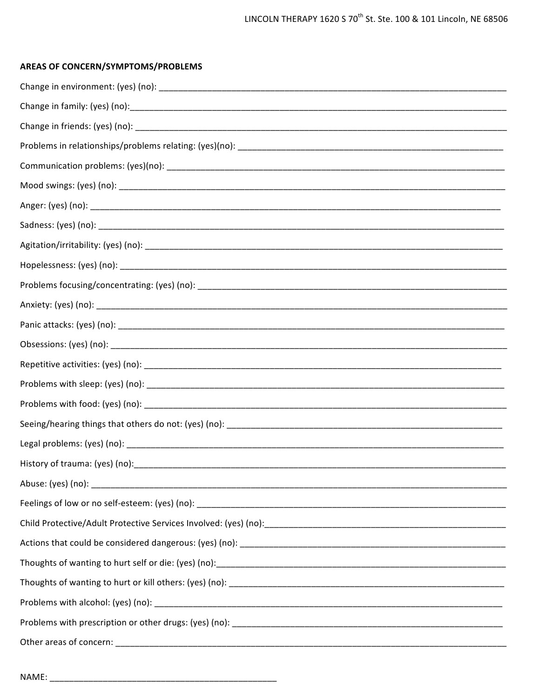# AREAS OF CONCERN/SYMPTOMS/PROBLEMS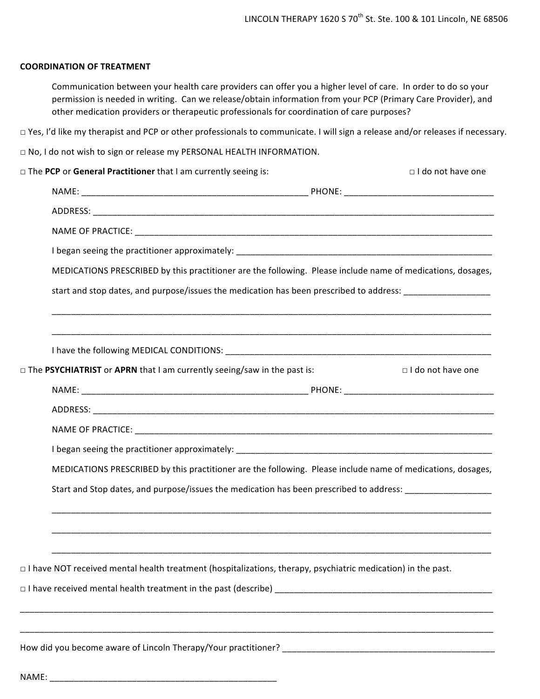## **COORDINATION OF TREATMENT**

Communication between your health care providers can offer you a higher level of care. In order to do so your permission is needed in writing. Can we release/obtain information from your PCP (Primary Care Provider), and other medication providers or therapeutic professionals for coordination of care purposes?

□ Yes, I'd like my therapist and PCP or other professionals to communicate. I will sign a release and/or releases if necessary.

□ No, I do not wish to sign or release my PERSONAL HEALTH INFORMATION.

| $\Box$ The PCP or General Practitioner that I am currently seeing is:                                               |  | □ I do not have one |  |  |  |
|---------------------------------------------------------------------------------------------------------------------|--|---------------------|--|--|--|
|                                                                                                                     |  |                     |  |  |  |
|                                                                                                                     |  |                     |  |  |  |
|                                                                                                                     |  |                     |  |  |  |
|                                                                                                                     |  |                     |  |  |  |
| MEDICATIONS PRESCRIBED by this practitioner are the following. Please include name of medications, dosages,         |  |                     |  |  |  |
| start and stop dates, and purpose/issues the medication has been prescribed to address: _____________________       |  |                     |  |  |  |
|                                                                                                                     |  |                     |  |  |  |
|                                                                                                                     |  |                     |  |  |  |
| □ The PSYCHIATRIST or APRN that I am currently seeing/saw in the past is:                                           |  | □ I do not have one |  |  |  |
|                                                                                                                     |  |                     |  |  |  |
|                                                                                                                     |  |                     |  |  |  |
|                                                                                                                     |  |                     |  |  |  |
|                                                                                                                     |  |                     |  |  |  |
| MEDICATIONS PRESCRIBED by this practitioner are the following. Please include name of medications, dosages,         |  |                     |  |  |  |
| Start and Stop dates, and purpose/issues the medication has been prescribed to address: __________________          |  |                     |  |  |  |
|                                                                                                                     |  |                     |  |  |  |
| $\Box$ I have NOT received mental health treatment (hospitalizations, therapy, psychiatric medication) in the past. |  |                     |  |  |  |
|                                                                                                                     |  |                     |  |  |  |
|                                                                                                                     |  |                     |  |  |  |
|                                                                                                                     |  |                     |  |  |  |

How did you become aware of Lincoln Therapy/Your practitioner? \_\_\_\_\_\_\_\_\_\_\_\_\_\_\_\_\_

NAME: \_\_\_\_\_\_\_\_\_\_\_\_\_\_\_\_\_\_\_\_\_\_\_\_\_\_\_\_\_\_\_\_\_\_\_\_\_\_\_\_\_\_\_\_\_\_\_